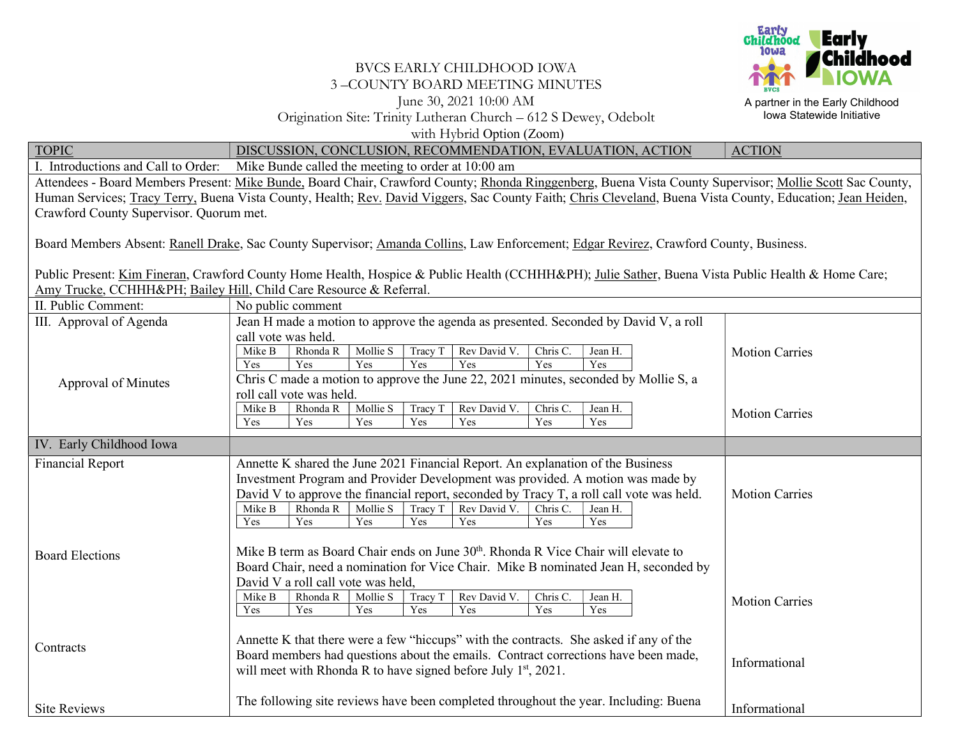

A partner in the Early Childhood Iowa Statewide Initiative

## BVCS EARLY CHILDHOOD IOWA 3 –COUNTY BOARD MEETING MINUTES June 30, 2021 10:00 AM Origination Site: Trinity Lutheran Church – 612 S Dewey, Odebolt with Hybrid Option (Zoom)

TOPIC DISCUSSION, CONCLUSION, RECOMMENDATION, EVALUATION, ACTION ACTION I. Introductions and Call to Order: Mike Bunde called the meeting to order at 10:00 am Attendees - Board Members Present: Mike Bunde, Board Chair, Crawford County; Rhonda Ringgenberg, Buena Vista County Supervisor; Mollie Scott Sac County, Human Services; Tracy Terry, Buena Vista County, Health; Rev. David Viggers, Sac County Faith; Chris Cleveland, Buena Vista County, Education; Jean Heiden, Crawford County Supervisor. Quorum met. Board Members Absent: Ranell Drake, Sac County Supervisor; Amanda Collins, Law Enforcement; Edgar Revirez, Crawford County, Business. Public Present: Kim Fineran, Crawford County Home Health, Hospice & Public Health (CCHHH&PH); Julie Sather, Buena Vista Public Health & Home Care; Amy Trucke, CCHHH&PH; Bailey Hill, Child Care Resource & Referral. II. Public Comment: No public comment III. Approval of Agenda Approval of Minutes Jean H made a motion to approve the agenda as presented. Seconded by David V, a roll call vote was held.<br>Mike B Rhonda R Mollie S  $\vert$  Tracy T Rev David V. Chris C. Jean H. Yes Yes Yes Yes Yes Yes Yes Chris C made a motion to approve the June 22, 2021 minutes, seconded by Mollie S, a roll call vote was held. Mike B Rhonda R Mollie S Tracy T Rev David V. Chris C. Jean H. Yes Yes Yes Yes Yes Yes Yes Motion Carries Motion Carries IV. Early Childhood Iowa Financial Report Board Elections **Contracts** Site Reviews Annette K shared the June 2021 Financial Report. An explanation of the Business Investment Program and Provider Development was provided. A motion was made by David V to approve the financial report, seconded by Tracy T, a roll call vote was held. Mike B Rhonda R Mollie S Tracy T Rev David V. Chris C. Jean H. Yes | Yes | Yes | Yes | Yes | Yes | Yes Mike B term as Board Chair ends on June  $30<sup>th</sup>$ . Rhonda R Vice Chair will elevate to Board Chair, need a nomination for Vice Chair. Mike B nominated Jean H, seconded by David V a roll call vote was held, Mike B Rhonda R | Mollie S | Tracy T | Rev David V. | Chris C. | Jean H. Yes Yes Yes Yes Yes Yes Yes Yes Annette K that there were a few "hiccups" with the contracts. She asked if any of the Board members had questions about the emails. Contract corrections have been made, will meet with Rhonda R to have signed before July  $1<sup>st</sup>$ , 2021. The following site reviews have been completed throughout the year. Including: Buena Motion Carries Motion Carries Informational Informational